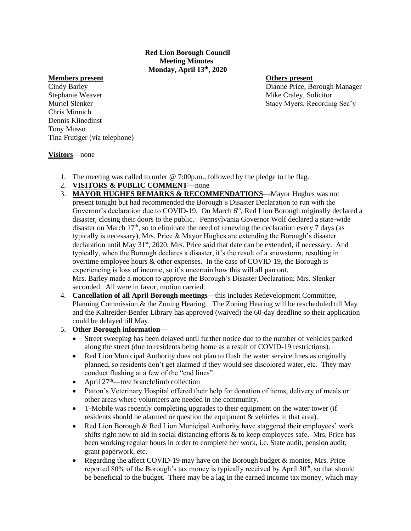**Red Lion Borough Council Meeting Minutes Monday, April 13th, 2020**

## **Members present Others present**

Stephanie Weaver **Mike Craley**, Solicitor **Mike Craley**, Solicitor Chris Minnich Dennis Klinedinst Tony Musso Tina Frutiger (via telephone)

Cindy Barley Dianne Price, Borough Manager Muriel Slenker Stacy Myers, Recording Sec'y

## **Visitors**—none

- 1. The meeting was called to order @ 7:00p.m., followed by the pledge to the flag.
- 2. **VISITORS & PUBLIC COMMENT**—none
- 3. **MAYOR HUGHES REMARKS & RECOMMENDATIONS**—Mayor Hughes was not present tonight but had recommended the Borough's Disaster Declaration to run with the Governor's declaration due to COVID-19. On March  $6<sup>th</sup>$ , Red Lion Borough originally declared a disaster, closing their doors to the public. Pennsylvania Governor Wolf declared a state-wide disaster on March  $17<sup>th</sup>$ , so to eliminate the need of renewing the declaration every 7 days (as typically is necessary), Mrs. Price  $&$  Mayor Hughes are extending the Borough's disaster declaration until May  $31<sup>st</sup>$ , 2020. Mrs. Price said that date can be extended, if necessary. And typically, when the Borough declares a disaster, it's the result of a snowstorm, resulting in overtime employee hours & other expenses. In the case of COVID-19, the Borough is experiencing is loss of income, so it's uncertain how this will all pan out. Mrs. Barley made a motion to approve the Borough's Disaster Declaration; Mrs. Slenker seconded. All were in favor; motion carried.
- 4. **Cancellation of all April Borough meetings—**this includes Redevelopment Committee, Planning Commission & the Zoning Hearing. The Zoning Hearing will be rescheduled till May and the Kaltreider-Benfer Library has approved (waived) the 60-day deadline so their application could be delayed till May.

## 5. **Other Borough information—**

- Street sweeping has been delayed until further notice due to the number of vehicles parked along the street (due to residents being home as a result of COVID-19 restrictions).
- Red Lion Municipal Authority does not plan to flush the water service lines as originally planned, so residents don't get alarmed if they would see discolored water, etc. They may conduct flushing at a few of the "end lines".
- April  $27<sup>th</sup>$ —tree branch/limb collection
- Patton's Veterinary Hospital offered their help for donation of items, delivery of meals or other areas where volunteers are needed in the community.
- T-Mobile was recently completing upgrades to their equipment on the water tower (if residents should be alarmed or question the equipment & vehicles in that area).
- Red Lion Borough & Red Lion Municipal Authority have staggered their employees' work shifts right now to aid in social distancing efforts & to keep employees safe. Mrs. Price has been working regular hours in order to complete her work, i.e. State audit, pension audit, grant paperwork, etc.
- Regarding the affect COVID-19 may have on the Borough budget & monies, Mrs. Price reported  $80\%$  of the Borough's tax money is typically received by April  $30<sup>th</sup>$ , so that should be beneficial to the budget. There may be a lag in the earned income tax money, which may